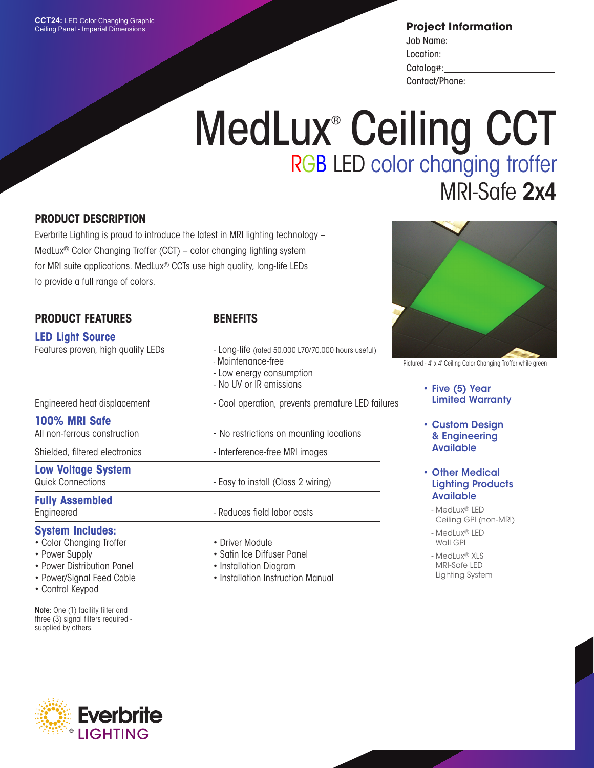**Project Information**

| Job Name:      |  |
|----------------|--|
| Location:      |  |
| Catalog#:      |  |
| Contact/Phone: |  |

# MedLux<sup>®</sup> Ceiling CCT RGB LED color changing troffer MRI-Safe 2x4

### **PRODUCT DESCRIPTION**

Everbrite Lighting is proud to introduce the latest in MRI lighting technology – MedLux® Color Changing Troffer (CCT) – color changing lighting system for MRI suite applications. MedLux® CCTs use high quality, long-life LEDs to provide a full range of colors.

| <b>PRODUCT FEATURES</b>            | <b>BENEFITS</b>                                                                                                                 |
|------------------------------------|---------------------------------------------------------------------------------------------------------------------------------|
| <b>LED Light Source</b>            |                                                                                                                                 |
| Features proven, high quality LEDs | - Long-life (rated 50,000 L70/70,000 hours useful)<br>- Maintenance-free<br>- Low energy consumption<br>- No UV or IR emissions |
| Engineered heat displacement       | - Cool operation, prevents premature LED failures                                                                               |
| 100% MRI Safe                      |                                                                                                                                 |
| All non-ferrous construction       | - No restrictions on mounting locations                                                                                         |
| Shielded, filtered electronics     | - Interference-free MRI images                                                                                                  |
| <b>Low Voltage System</b>          |                                                                                                                                 |
| <b>Quick Connections</b>           | - Easy to install (Class 2 wiring)                                                                                              |
| <b>Fully Assembled</b>             |                                                                                                                                 |
| Engineered                         | - Reduces field labor costs                                                                                                     |
| System Includes:                   |                                                                                                                                 |

#### **System Includes:**

- Color Changing Troffer
- Power Supply
- Power Distribution Panel
- Power/Signal Feed Cable
- Control Keypad

Note: One (1) facility filter and three (3) signal filters required supplied by others.

- Driver Module
- Satin Ice Diffuser Panel
- Installation Diagram
- Installation Instruction Manual



Pictured - 4' x 4' Ceiling Color Changing Troffer while green

- Five (5) Year Limited Warranty
- Custom Design & Engineering Available
- Other Medical Lighting Products Available
	- MedLux® LED Ceiling GPI (non-MRI)
	- MedLux® LED Wall GPI
	- MedLux® XLS MRI-Safe LED Lighting System